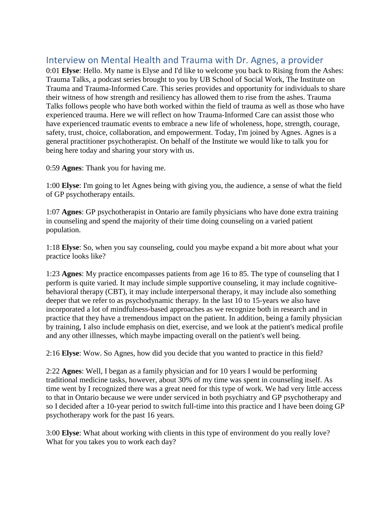## Interview on Mental Health and Trauma with Dr. Agnes, a provider

0:01 **Elyse**: Hello. My name is Elyse and I'd like to welcome you back to Rising from the Ashes: Trauma Talks, a podcast series brought to you by UB School of Social Work, The Institute on Trauma and Trauma-Informed Care. This series provides and opportunity for individuals to share their witness of how strength and resiliency has allowed them to rise from the ashes. Trauma Talks follows people who have both worked within the field of trauma as well as those who have experienced trauma. Here we will reflect on how Trauma-Informed Care can assist those who have experienced traumatic events to embrace a new life of wholeness, hope, strength, courage, safety, trust, choice, collaboration, and empowerment. Today, I'm joined by Agnes. Agnes is a general practitioner psychotherapist. On behalf of the Institute we would like to talk you for being here today and sharing your story with us.

0:59 **Agnes**: Thank you for having me.

1:00 **Elyse**: I'm going to let Agnes being with giving you, the audience, a sense of what the field of GP psychotherapy entails.

1:07 **Agnes**: GP psychotherapist in Ontario are family physicians who have done extra training in counseling and spend the majority of their time doing counseling on a varied patient population.

1:18 **Elyse**: So, when you say counseling, could you maybe expand a bit more about what your practice looks like?

1:23 **Agnes**: My practice encompasses patients from age 16 to 85. The type of counseling that I perform is quite varied. It may include simple supportive counseling, it may include cognitivebehavioral therapy (CBT), it may include interpersonal therapy, it may include also something deeper that we refer to as psychodynamic therapy. In the last 10 to 15-years we also have incorporated a lot of mindfulness-based approaches as we recognize both in research and in practice that they have a tremendous impact on the patient. In addition, being a family physician by training, I also include emphasis on diet, exercise, and we look at the patient's medical profile and any other illnesses, which maybe impacting overall on the patient's well being.

2:16 **Elyse**: Wow. So Agnes, how did you decide that you wanted to practice in this field?

2:22 **Agnes**: Well, I began as a family physician and for 10 years I would be performing traditional medicine tasks, however, about 30% of my time was spent in counseling itself. As time went by I recognized there was a great need for this type of work. We had very little access to that in Ontario because we were under serviced in both psychiatry and GP psychotherapy and so I decided after a 10-year period to switch full-time into this practice and I have been doing GP psychotherapy work for the past 16 years.

3:00 **Elyse**: What about working with clients in this type of environment do you really love? What for you takes you to work each day?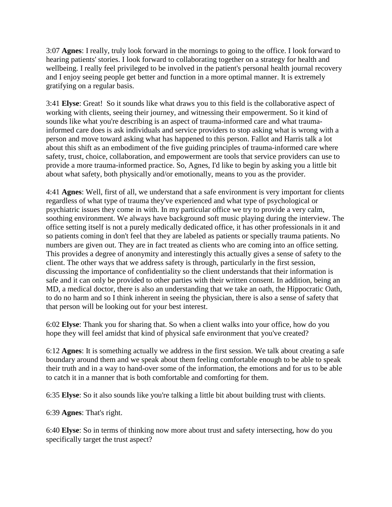3:07 **Agnes**: I really, truly look forward in the mornings to going to the office. I look forward to hearing patients' stories. I look forward to collaborating together on a strategy for health and wellbeing. I really feel privileged to be involved in the patient's personal health journal recovery and I enjoy seeing people get better and function in a more optimal manner. It is extremely gratifying on a regular basis.

3:41 **Elyse**: Great! So it sounds like what draws you to this field is the collaborative aspect of working with clients, seeing their journey, and witnessing their empowerment. So it kind of sounds like what you're describing is an aspect of trauma-informed care and what traumainformed care does is ask individuals and service providers to stop asking what is wrong with a person and move toward asking what has happened to this person. Fallot and Harris talk a lot about this shift as an embodiment of the five guiding principles of trauma-informed care where safety, trust, choice, collaboration, and empowerment are tools that service providers can use to provide a more trauma-informed practice. So, Agnes, I'd like to begin by asking you a little bit about what safety, both physically and/or emotionally, means to you as the provider.

4:41 **Agnes**: Well, first of all, we understand that a safe environment is very important for clients regardless of what type of trauma they've experienced and what type of psychological or psychiatric issues they come in with. In my particular office we try to provide a very calm, soothing environment. We always have background soft music playing during the interview. The office setting itself is not a purely medically dedicated office, it has other professionals in it and so patients coming in don't feel that they are labeled as patients or specially trauma patients. No numbers are given out. They are in fact treated as clients who are coming into an office setting. This provides a degree of anonymity and interestingly this actually gives a sense of safety to the client. The other ways that we address safety is through, particularly in the first session, discussing the importance of confidentiality so the client understands that their information is safe and it can only be provided to other parties with their written consent. In addition, being an MD, a medical doctor, there is also an understanding that we take an oath, the Hippocratic Oath, to do no harm and so I think inherent in seeing the physician, there is also a sense of safety that that person will be looking out for your best interest.

6:02 **Elyse**: Thank you for sharing that. So when a client walks into your office, how do you hope they will feel amidst that kind of physical safe environment that you've created?

6:12 **Agnes**: It is something actually we address in the first session. We talk about creating a safe boundary around them and we speak about them feeling comfortable enough to be able to speak their truth and in a way to hand-over some of the information, the emotions and for us to be able to catch it in a manner that is both comfortable and comforting for them.

6:35 **Elyse**: So it also sounds like you're talking a little bit about building trust with clients.

6:39 **Agnes**: That's right.

6:40 **Elyse**: So in terms of thinking now more about trust and safety intersecting, how do you specifically target the trust aspect?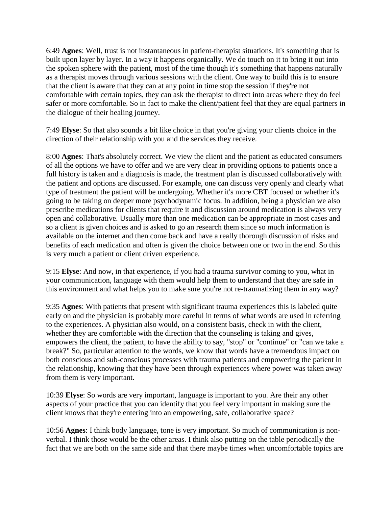6:49 **Agnes**: Well, trust is not instantaneous in patient-therapist situations. It's something that is built upon layer by layer. In a way it happens organically. We do touch on it to bring it out into the spoken sphere with the patient, most of the time though it's something that happens naturally as a therapist moves through various sessions with the client. One way to build this is to ensure that the client is aware that they can at any point in time stop the session if they're not comfortable with certain topics, they can ask the therapist to direct into areas where they do feel safer or more comfortable. So in fact to make the client/patient feel that they are equal partners in the dialogue of their healing journey.

7:49 **Elyse**: So that also sounds a bit like choice in that you're giving your clients choice in the direction of their relationship with you and the services they receive.

8:00 **Agnes**: That's absolutely correct. We view the client and the patient as educated consumers of all the options we have to offer and we are very clear in providing options to patients once a full history is taken and a diagnosis is made, the treatment plan is discussed collaboratively with the patient and options are discussed. For example, one can discuss very openly and clearly what type of treatment the patient will be undergoing. Whether it's more CBT focused or whether it's going to be taking on deeper more psychodynamic focus. In addition, being a physician we also prescribe medications for clients that require it and discussion around medication is always very open and collaborative. Usually more than one medication can be appropriate in most cases and so a client is given choices and is asked to go an research them since so much information is available on the internet and then come back and have a really thorough discussion of risks and benefits of each medication and often is given the choice between one or two in the end. So this is very much a patient or client driven experience.

9:15 **Elyse**: And now, in that experience, if you had a trauma survivor coming to you, what in your communication, language with them would help them to understand that they are safe in this environment and what helps you to make sure you're not re-traumatizing them in any way?

9:35 **Agnes**: With patients that present with significant trauma experiences this is labeled quite early on and the physician is probably more careful in terms of what words are used in referring to the experiences. A physician also would, on a consistent basis, check in with the client, whether they are comfortable with the direction that the counseling is taking and gives, empowers the client, the patient, to have the ability to say, "stop" or "continue" or "can we take a break?" So, particular attention to the words, we know that words have a tremendous impact on both conscious and sub-conscious processes with trauma patients and empowering the patient in the relationship, knowing that they have been through experiences where power was taken away from them is very important.

10:39 **Elyse**: So words are very important, language is important to you. Are their any other aspects of your practice that you can identify that you feel very important in making sure the client knows that they're entering into an empowering, safe, collaborative space?

10:56 **Agnes**: I think body language, tone is very important. So much of communication is nonverbal. I think those would be the other areas. I think also putting on the table periodically the fact that we are both on the same side and that there maybe times when uncomfortable topics are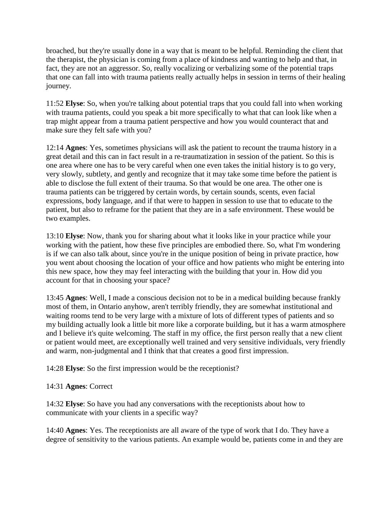broached, but they're usually done in a way that is meant to be helpful. Reminding the client that the therapist, the physician is coming from a place of kindness and wanting to help and that, in fact, they are not an aggressor. So, really vocalizing or verbalizing some of the potential traps that one can fall into with trauma patients really actually helps in session in terms of their healing journey.

11:52 **Elyse**: So, when you're talking about potential traps that you could fall into when working with trauma patients, could you speak a bit more specifically to what that can look like when a trap might appear from a trauma patient perspective and how you would counteract that and make sure they felt safe with you?

12:14 **Agnes**: Yes, sometimes physicians will ask the patient to recount the trauma history in a great detail and this can in fact result in a re-traumatization in session of the patient. So this is one area where one has to be very careful when one even takes the initial history is to go very, very slowly, subtlety, and gently and recognize that it may take some time before the patient is able to disclose the full extent of their trauma. So that would be one area. The other one is trauma patients can be triggered by certain words, by certain sounds, scents, even facial expressions, body language, and if that were to happen in session to use that to educate to the patient, but also to reframe for the patient that they are in a safe environment. These would be two examples.

13:10 **Elyse**: Now, thank you for sharing about what it looks like in your practice while your working with the patient, how these five principles are embodied there. So, what I'm wondering is if we can also talk about, since you're in the unique position of being in private practice, how you went about choosing the location of your office and how patients who might be entering into this new space, how they may feel interacting with the building that your in. How did you account for that in choosing your space?

13:45 **Agnes**: Well, I made a conscious decision not to be in a medical building because frankly most of them, in Ontario anyhow, aren't terribly friendly, they are somewhat institutional and waiting rooms tend to be very large with a mixture of lots of different types of patients and so my building actually look a little bit more like a corporate building, but it has a warm atmosphere and I believe it's quite welcoming. The staff in my office, the first person really that a new client or patient would meet, are exceptionally well trained and very sensitive individuals, very friendly and warm, non-judgmental and I think that that creates a good first impression.

14:28 **Elyse**: So the first impression would be the receptionist?

14:31 **Agnes**: Correct

14:32 **Elyse**: So have you had any conversations with the receptionists about how to communicate with your clients in a specific way?

14:40 **Agnes**: Yes. The receptionists are all aware of the type of work that I do. They have a degree of sensitivity to the various patients. An example would be, patients come in and they are